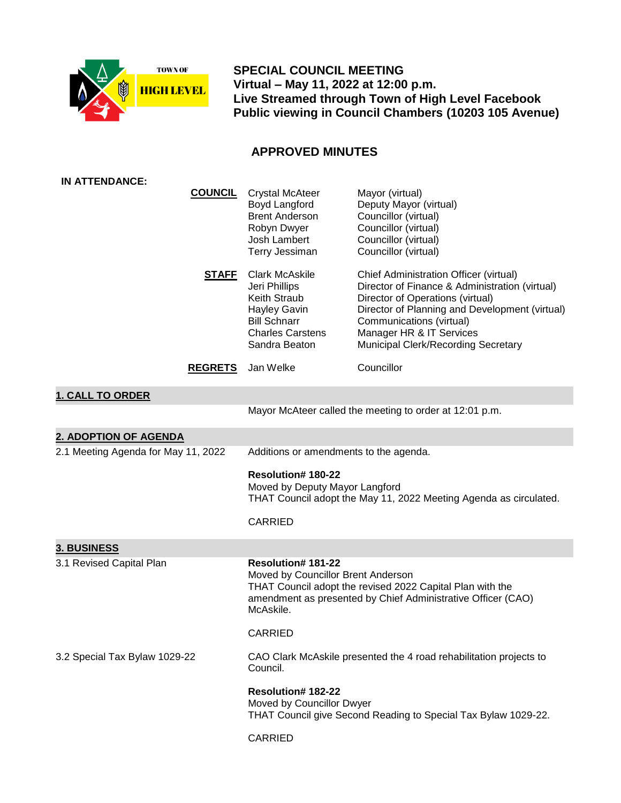

 **SPECIAL COUNCIL MEETING Virtual – May 11, 2022 at 12:00 p.m. Live Streamed through Town of High Level Facebook Public viewing in Council Chambers (10203 105 Avenue)**

## **APPROVED MINUTES**

| IN ATTENDANCE:                      |                |                                                                                                                                                                                                          |                                                                                                                                                                                                                                                                                      |
|-------------------------------------|----------------|----------------------------------------------------------------------------------------------------------------------------------------------------------------------------------------------------------|--------------------------------------------------------------------------------------------------------------------------------------------------------------------------------------------------------------------------------------------------------------------------------------|
|                                     | <b>COUNCIL</b> | <b>Crystal McAteer</b><br>Boyd Langford<br><b>Brent Anderson</b><br>Robyn Dwyer<br>Josh Lambert<br>Terry Jessiman                                                                                        | Mayor (virtual)<br>Deputy Mayor (virtual)<br>Councillor (virtual)<br>Councillor (virtual)<br>Councillor (virtual)<br>Councillor (virtual)                                                                                                                                            |
|                                     | <u>STAFF</u>   | <b>Clark McAskile</b><br>Jeri Phillips<br>Keith Straub<br><b>Hayley Gavin</b><br><b>Bill Schnarr</b><br><b>Charles Carstens</b><br>Sandra Beaton                                                         | Chief Administration Officer (virtual)<br>Director of Finance & Administration (virtual)<br>Director of Operations (virtual)<br>Director of Planning and Development (virtual)<br>Communications (virtual)<br>Manager HR & IT Services<br><b>Municipal Clerk/Recording Secretary</b> |
|                                     | <b>REGRETS</b> | Jan Welke                                                                                                                                                                                                | Councillor                                                                                                                                                                                                                                                                           |
| <b>1. CALL TO ORDER</b>             |                |                                                                                                                                                                                                          |                                                                                                                                                                                                                                                                                      |
|                                     |                | Mayor McAteer called the meeting to order at 12:01 p.m.                                                                                                                                                  |                                                                                                                                                                                                                                                                                      |
| 2. ADOPTION OF AGENDA               |                |                                                                                                                                                                                                          |                                                                                                                                                                                                                                                                                      |
| 2.1 Meeting Agenda for May 11, 2022 |                | Additions or amendments to the agenda.                                                                                                                                                                   |                                                                                                                                                                                                                                                                                      |
|                                     |                | <b>Resolution#180-22</b><br>Moved by Deputy Mayor Langford<br>THAT Council adopt the May 11, 2022 Meeting Agenda as circulated.                                                                          |                                                                                                                                                                                                                                                                                      |
|                                     |                | <b>CARRIED</b>                                                                                                                                                                                           |                                                                                                                                                                                                                                                                                      |
| <b>3. BUSINESS</b>                  |                |                                                                                                                                                                                                          |                                                                                                                                                                                                                                                                                      |
| 3.1 Revised Capital Plan            |                | <b>Resolution#181-22</b><br>Moved by Councillor Brent Anderson<br>THAT Council adopt the revised 2022 Capital Plan with the<br>amendment as presented by Chief Administrative Officer (CAO)<br>McAskile. |                                                                                                                                                                                                                                                                                      |
|                                     |                | <b>CARRIED</b>                                                                                                                                                                                           |                                                                                                                                                                                                                                                                                      |
| 3.2 Special Tax Bylaw 1029-22       |                | CAO Clark McAskile presented the 4 road rehabilitation projects to<br>Council.                                                                                                                           |                                                                                                                                                                                                                                                                                      |
|                                     |                | <b>Resolution#182-22</b><br>Moved by Councillor Dwyer<br>THAT Council give Second Reading to Special Tax Bylaw 1029-22.                                                                                  |                                                                                                                                                                                                                                                                                      |
|                                     |                | CARRIED                                                                                                                                                                                                  |                                                                                                                                                                                                                                                                                      |